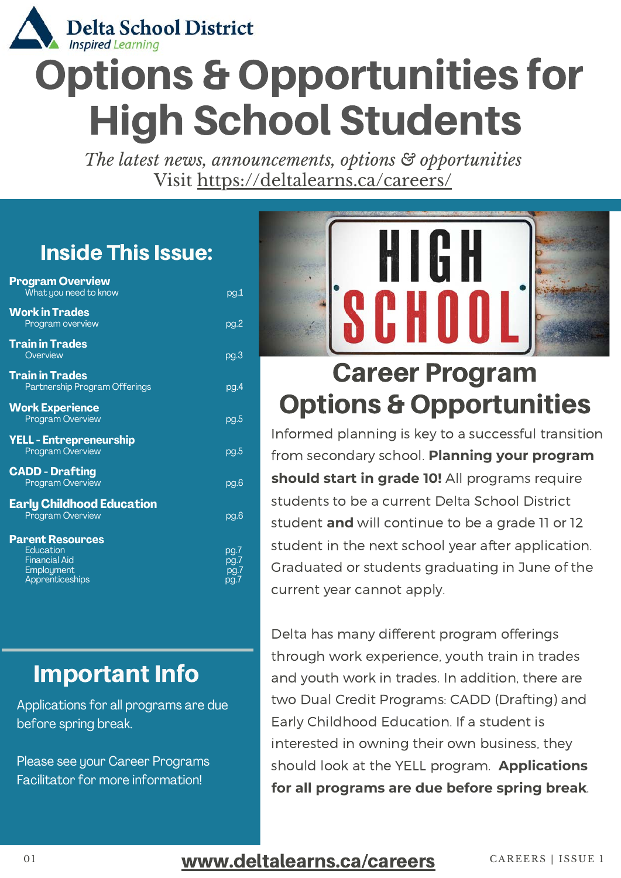

# Options & Opportunities for High School Students

*The latest news, announcements, options & opportunities* Visit<https://deltalearns.ca/careers/>

#### Inside This Issue:

| <b>Program Overview</b><br>What you need to know                   | pg.1                         |
|--------------------------------------------------------------------|------------------------------|
| <b>Work in Trades</b><br>Program overview                          | pg.2                         |
| <b>Train in Trades</b><br>Overview                                 | pg.3                         |
| <b>Train in Trades</b><br>Partnership Program Offerings            | pq.4                         |
| <b>Work Experience</b><br><b>Program Overview</b>                  | pg.5                         |
| <b>YELL - Entrepreneurship</b><br><b>Program Overview</b>          | pg.5                         |
| <b>CADD - Drafting</b><br>Program Overview                         | pq.6                         |
| <b>Early Childhood Education</b><br>Program Overview               | pg.6                         |
| <b>Parent Resources</b>                                            |                              |
| Education<br><b>Financial Aid</b><br>Employment<br>Apprenticeships | pg.7<br>pg.7<br>pq.7<br>pq.7 |
|                                                                    |                              |

#### **Important Info**

Applications for all programs are due before spring break.

Please see your Career Programs Facilitator for more information!



### [C](https://deltalearns.ca/careers/student-opportunities/)areer [Program](https://deltalearns.ca/careers/student-opportunities/) [Options & Opportunities](https://deltalearns.ca/careers/student-opportunities/)

Informed planning is key to a successful transition from secondary school. **[Planning your program](https://deltalearns.ca/careers/) [should start in grade 10!](https://deltalearns.ca/careers/)** All programs require students to be a current Delta School District student **[and](https://deltalearns.ca/careers/)** will continue to be a grade 11 or 12 student in the next school year after [application.](https://deltalearns.ca/careers/) Graduated or students graduating in June of the current year cannot apply.

Delta has many different program offerings through work experience, youth train in trades and youth work in trades. In addition, there are two Dual Credit [Programs: CADD \(Drafting\) and](https://deltalearns.ca/careers/) Early Childhood Education. If a student is interested in owning their own business, they should look at the YELL program[.](https://deltalearns.ca/careers/) **Applications [for all programs are due before spring break](https://deltalearns.ca/careers/)**[.](https://deltalearns.ca/careers/)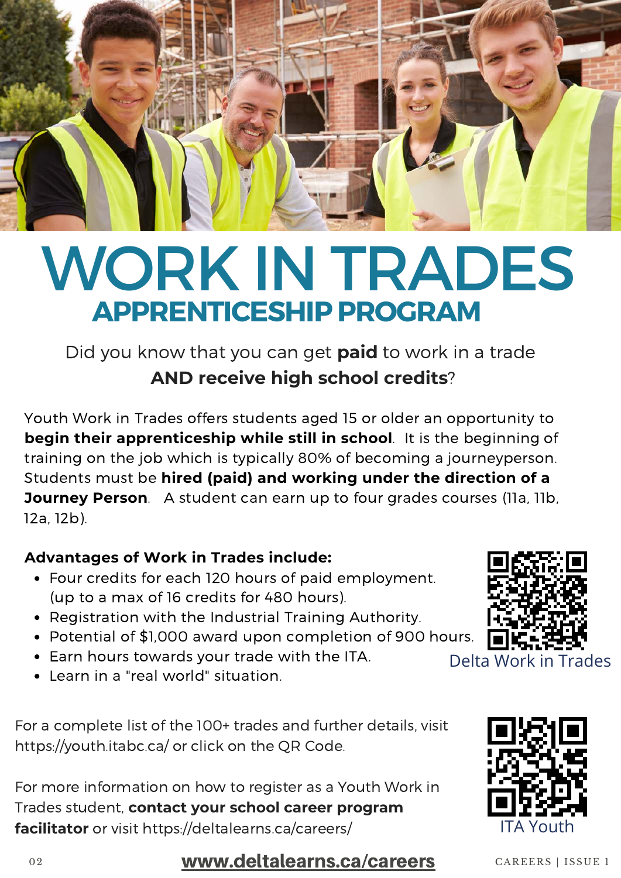

# WORK IN TRADES **[APPRENTICESHIP PROGRAM](https://deltalearns.ca/careers/work-in-trades/)**

Did you [know](https://deltalearns.ca/careers/work-in-trades/) that you can get **[paid](https://deltalearns.ca/careers/work-in-trades/)** to work in a [trade](https://deltalearns.ca/careers/work-in-trades/) **[AND receive high school credits](https://deltalearns.ca/careers/work-in-trades/)**[?](https://deltalearns.ca/careers/work-in-trades/)

Youth Work in Trades offers students aged 15 or older an [opportunity](https://deltalearns.ca/careers/work-in-trades/) to **[begin their apprenticeship while still in school](https://deltalearns.ca/careers/work-in-trades/)**[.](https://deltalearns.ca/careers/work-in-trades/) It is the beginning of training on the job which is typically 80% of becoming a journeyperson. Students must be **[hired \(paid\) and working under the direction of a](https://deltalearns.ca/careers/work-in-trades/) Journey Person**[. A](https://deltalearns.ca/careers/work-in-trades/) student can earn up to four grades courses (IIa, IIb, 12a, 12b)[.](https://deltalearns.ca/careers/work-in-trades/) 

#### **[Advantages of Work in Trades include:](https://deltalearns.ca/careers/work-in-trades/)**

- Four credits for each 120 hours of paid [employment.](https://deltalearns.ca/careers/work-in-trades/) (up to a max of 16 credits for 480 [hours\)](https://deltalearns.ca/careers/work-in-trades/).
- [Registration](https://deltalearns.ca/careers/work-in-trades/) with the Industrial Training Authority.
- Potential of \$1,000 award upon [completion](https://deltalearns.ca/careers/work-in-trades/) of 900 hours.
- Earn hours [towards](https://deltalearns.ca/careers/work-in-trades/) your trade with the ITA.
- Learn in a "real [world" situation.](https://deltalearns.ca/careers/work-in-trades/)

For a complete list of the 100+ trades and further details, visit [https://youth.itabc.ca/ or](https://deltalearns.ca/careers/work-in-trades/) click on the QR Code.

For more information on how to register as a Youth Work in Trades student, **[contact your school career program](https://deltalearns.ca/careers/work-in-trades/) facilitator** or visit [https://deltalearns.ca/careers/](https://deltalearns.ca/careers/work-in-trades/)





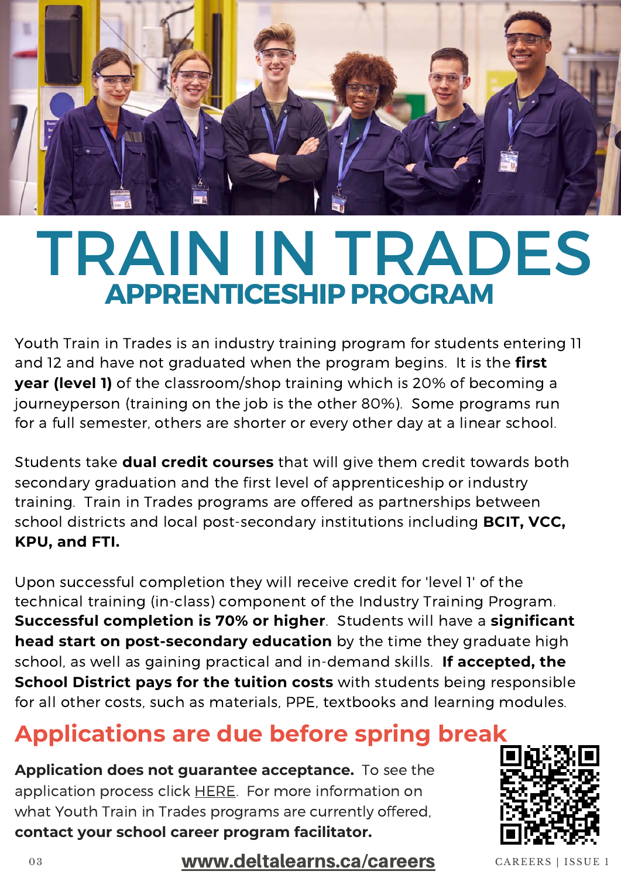

# [TRAIN IN TRADES](https://deltalearns.ca/careers/train-in-trades/) **APPRENTICESHIP PROGRAM**

Youth Train in Trades is an industry training program for students entering 11 and 12 and have not graduated when the program [begins. It](https://deltalearns.ca/careers/train-in-trades/) is [the](https://deltalearns.ca/careers/train-in-trades/) **first year (level 1)** of the [classroom/shop](https://deltalearns.ca/careers/train-in-trades/) training which is 20% of becoming a [journeyperson \(training](https://deltalearns.ca/careers/train-in-trades/) on the job is the other 80%).Some programs run for a full semester, others are shorter or every other day at a linear school[.](https://deltalearns.ca/careers/train-in-trades/) 

[Students](https://deltalearns.ca/careers/train-in-trades/) take **[dual credit courses](https://deltalearns.ca/careers/train-in-trades/)** that will give them credit towards both secondary graduation and the first level of apprenticeship or industry training.Train in Trades programs are offered as partnerships between school districts and local [post-secondary](https://deltalearns.ca/careers/train-in-trades/) institutions including **BCIT, VCC, KPU, and FTI.**

Upon successful completion they will receive credit for 'level 1' of the technical [training \(in-class\) component](https://deltalearns.ca/careers/train-in-trades/) of the Industry Training Program. **[Successful completion is 70% or higher](https://deltalearns.ca/careers/train-in-trades/)**[. Students](https://deltalearns.ca/careers/train-in-trades/) will have a **significant [head start on post-secondary education](https://deltalearns.ca/careers/train-in-trades/)** by the time they graduate high school, as well as gaining practical and in-demand skills. **If accepted, the [School District pays for the tuition costs](https://deltalearns.ca/careers/train-in-trades/)** with students being responsible for all other costs, such as materials, PPE, textbooks and learning modules.

#### **[Applications are due before spring break](https://deltalearns.ca/careers/train-in-trades/)**

**Application does not guarantee acceptance.** To see the application process click [HERE.](https://deltalearns.ca/careers/train-in-trades/) For more information on what Youth Train in Trades programs are currently offered, **contact your school career program facilitator.**

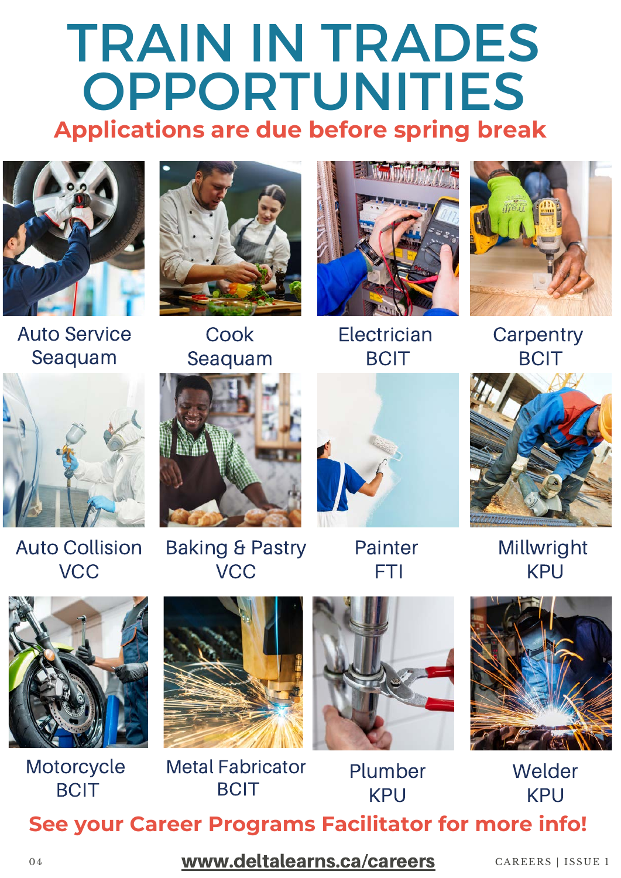## [TRAIN IN TRADES](https://deltalearns.ca/careers/train-in-trades/) OPPORTUNITIES **[Applications are due before spring break](https://deltalearns.ca/careers/train-in-trades/)**



Auto Service [Seaquam](https://deltalearns.ca/careers/auto-service/)



**[Cook](https://deltalearns.ca/careers/cook/)** [Seaquam](https://deltalearns.ca/careers/cook/)



**[Electrician](https://deltalearns.ca/careers/electrician/) [BCIT](https://deltalearns.ca/careers/electrician/)** 



**[Carpentry](https://deltalearns.ca/careers/carpentry/) [BCIT](https://deltalearns.ca/careers/carpentry/)** 



Auto [Collision](https://deltalearns.ca/careers/auto-body/) **VCC** 



[Baking & Pastry](https://deltalearns.ca/careers/baker/) **VCC** 



[Painter](https://deltalearns.ca/careers/painter/) [FTI](https://deltalearns.ca/careers/painter/)



[Millwright](https://deltalearns.ca/careers/millwright/) [KPU](https://deltalearns.ca/careers/millwright/)



**[Motorcycle](https://deltalearns.ca/careers/motorcycle/)** [BCIT](https://deltalearns.ca/careers/motorcycle/)

![](_page_3_Picture_19.jpeg)

Metal [Fabricator](https://deltalearns.ca/careers/metal-fabricator/) **[BCIT](https://deltalearns.ca/careers/metal-fabricator/)** 

![](_page_3_Picture_21.jpeg)

[Plumber](https://deltalearns.ca/careers/plumber/) [KPU](https://deltalearns.ca/careers/plumber/)

![](_page_3_Picture_23.jpeg)

[Welder](https://deltalearns.ca/careers/welder/) [KPU](https://deltalearns.ca/careers/welder/) **[See your Career Programs Facilitator for more info!](https://deltalearns.ca/careers/train-in-trades/)**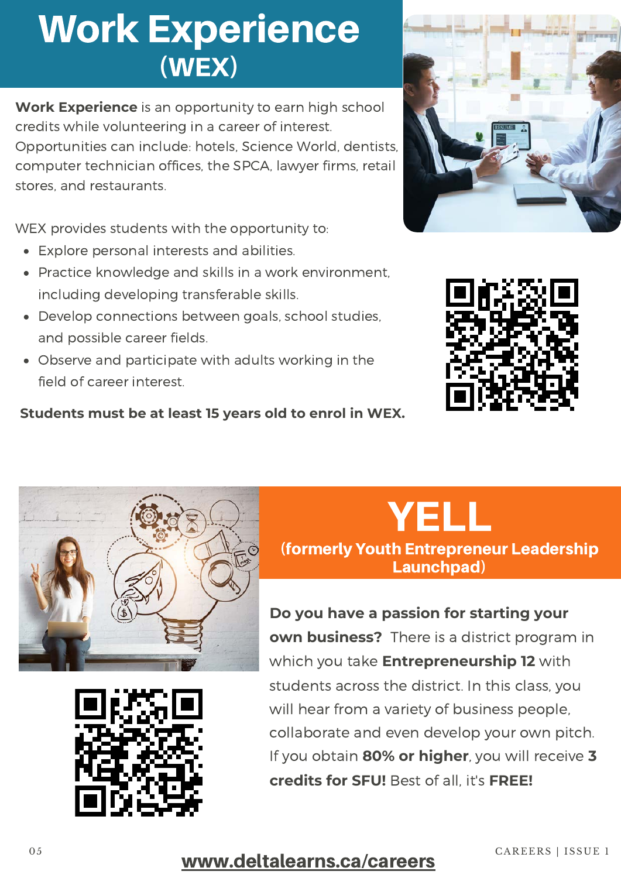### Work [Experience](https://deltalearns.ca/careers/work-experience/) [\(WEX\)](https://deltalearns.ca/careers/work-experience/)

**[Work Experience](https://deltalearns.ca/careers/work-experience/)** is an opportunity to earn high school credits while volunteering in a career of interest. Opportunities can [include: hotels, Science](https://deltalearns.ca/careers/work-experience/) World, dentists, computer technician offices, the SPCA, lawyer firms, retail stores, and restaurants.

WEX provides students with the [opportunity](https://deltalearns.ca/careers/work-experience/) to:

- Explore personal interests and [abilities.](https://deltalearns.ca/careers/work-experience/)
- Practice knowledge and skills in a work [environment,](https://deltalearns.ca/careers/work-experience/) including developing transferable skills.
- Develop connections between [goals, school](https://deltalearns.ca/careers/work-experience/) studies, and possible career fields.
- Observe and [participate](https://deltalearns.ca/careers/work-experience/) with adults working in the field of career interest.

**Students must be at least 15 years old to enrol in WEX.**

![](_page_4_Picture_8.jpeg)

![](_page_4_Picture_9.jpeg)

![](_page_4_Picture_10.jpeg)

![](_page_4_Picture_11.jpeg)

#### [YELL](https://deltalearns.ca/careers/yell/) [\(fo](https://deltalearns.ca/careers/yell/)rmerly Youth Entrepreneur Leadership [Launchpad\)](https://deltalearns.ca/careers/yell/)

**[Do you have a passion for starting your](https://deltalearns.ca/careers/yell/) own business?**There is a district program in which you take **[Entrepreneurship 12](https://deltalearns.ca/careers/yell/)** with students across the district. In this class, you will hear from a variety of business people, collaborate and even develop your own pitch. If you [obtain](https://deltalearns.ca/careers/yell/) **[80% or higher](https://deltalearns.ca/careers/yell/)**, you will [receive](https://deltalearns.ca/careers/yell/) **3 [credits for SFU!](https://deltalearns.ca/careers/yell/)** Best of [all, it's](https://deltalearns.ca/careers/yell/) **[FREE!](https://deltalearns.ca/careers/yell/)**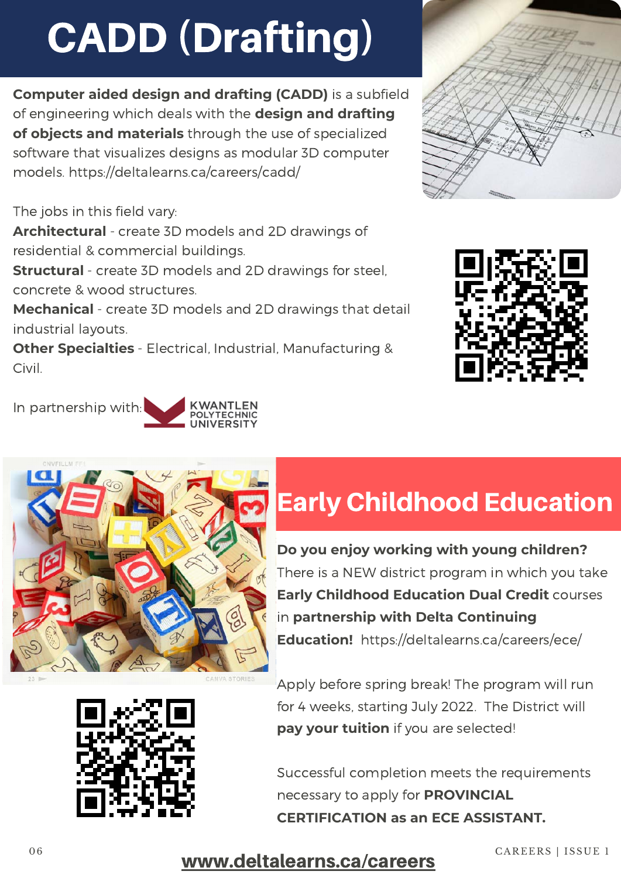# [CADD \(Drafting\)](https://deltalearns.ca/careers/cadd/)

**Computer aided design and drafting (CADD)** is a subfield of engineering which deals with the **design and drafting of objects and materials** through the use of specialized software that visualizes designs as modular 3D computer models.<https://deltalearns.ca/careers/cadd/>

The jobs in this field vary:

In partnership [with:](https://deltalearns.ca/careers/cadd/)

**Architectural** - create 3D models and 2D drawings of residential & commercial buildings.

**Structural** - create 3D models and 2D drawings for steel, concrete & wood structures.

**Mechanical** - create 3D models and 2D drawings that detail industrial layouts.

**Other Specialties** - Electrical, Industrial, Manufacturing & Civil.

![](_page_5_Picture_7.jpeg)

![](_page_5_Picture_8.jpeg)

### Early [Childhood](https://deltalearns.ca/careers/ece/) Education

**Do you enjoy working with young children?** There is a NEW district program in which you take **Early Childhood Education Dual Credit** courses in **partnership with Delta Continuing Education!** <https://deltalearns.ca/careers/ece/>

Apply before spring break! The program will run for 4 weeks, starting July 2022. The District will **pay your tuition** if you are selected!

Successful completion meets the requirements necessary to apply for **PROVINCIAL CERTIFICATION as an ECE ASSISTANT.**

![](_page_5_Picture_13.jpeg)